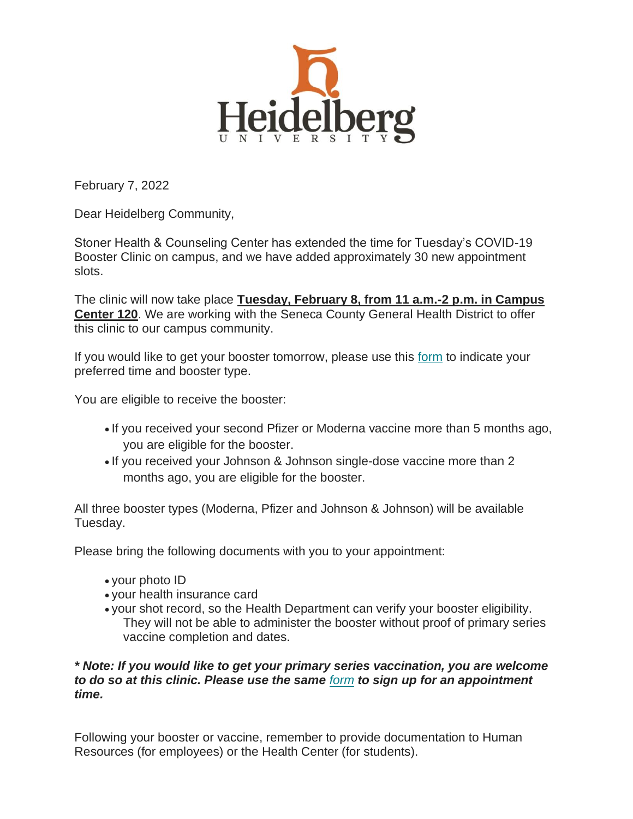

February 7, 2022

Dear Heidelberg Community,

Stoner Health & Counseling Center has extended the time for Tuesday's COVID-19 Booster Clinic on campus, and we have added approximately 30 new appointment slots.

The clinic will now take place **Tuesday, February 8, from 11 a.m.-2 p.m. in Campus Center 120**. We are working with the Seneca County General Health District to offer this clinic to our campus community.

If you would like to get your booster tomorrow, please use this [form](https://heidelberg.us1.list-manage.com/track/click?u=aedcf85e9275dba4a51d423f2&id=a7e68113d4&e=97159f85d8) to indicate your preferred time and booster type.

You are eligible to receive the booster:

- If you received your second Pfizer or Moderna vaccine more than 5 months ago, you are eligible for the booster.
- If you received your Johnson & Johnson single-dose vaccine more than 2 months ago, you are eligible for the booster.

All three booster types (Moderna, Pfizer and Johnson & Johnson) will be available Tuesday.

Please bring the following documents with you to your appointment:

- your photo ID
- your health insurance card
- your shot record, so the Health Department can verify your booster eligibility. They will not be able to administer the booster without proof of primary series vaccine completion and dates.

## *\* Note: If you would like to get your primary series vaccination, you are welcome to do so at this clinic. Please use the same [form](https://heidelberg.us1.list-manage.com/track/click?u=aedcf85e9275dba4a51d423f2&id=61f2daf250&e=97159f85d8) to sign up for an appointment time.*

Following your booster or vaccine, remember to provide documentation to Human Resources (for employees) or the Health Center (for students).